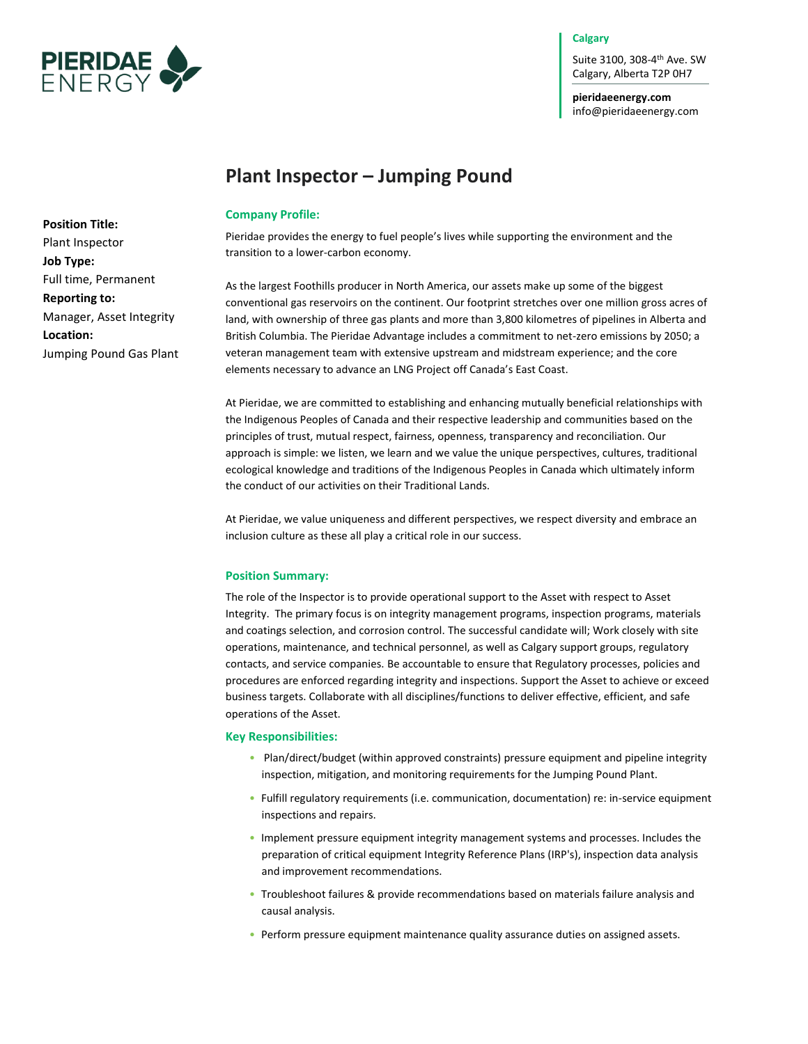

## **Calgary**

Suite 3100, 308-4 th Ave. SW Calgary, Alberta T2P 0H7

**pieridaeenergy.com** info@pieridaeenergy.com

# **Plant Inspector – Jumping Pound**

## **Company Profile:**

Pieridae provides the energy to fuel people's lives while supporting the environment and the transition to a lower-carbon economy.

As the largest Foothills producer in North America, our assets make up some of the biggest conventional gas reservoirs on the continent. Our footprint stretches over one million gross acres of land, with ownership of three gas plants and more than 3,800 kilometres of pipelines in Alberta and British Columbia. The Pieridae Advantage includes a commitment to net-zero emissions by 2050; a veteran management team with extensive upstream and midstream experience; and the core elements necessary to advance an LNG Project off Canada's East Coast.

At Pieridae, we are committed to establishing and enhancing mutually beneficial relationships with the Indigenous Peoples of Canada and their respective leadership and communities based on the principles of trust, mutual respect, fairness, openness, transparency and reconciliation. Our approach is simple: we listen, we learn and we value the unique perspectives, cultures, traditional ecological knowledge and traditions of the Indigenous Peoples in Canada which ultimately inform the conduct of our activities on their Traditional Lands.

At Pieridae, we value uniqueness and different perspectives, we respect diversity and embrace an inclusion culture as these all play a critical role in our success.

#### **Position Summary:**

The role of the Inspector is to provide operational support to the Asset with respect to Asset Integrity. The primary focus is on integrity management programs, inspection programs, materials and coatings selection, and corrosion control. The successful candidate will; Work closely with site operations, maintenance, and technical personnel, as well as Calgary support groups, regulatory contacts, and service companies. Be accountable to ensure that Regulatory processes, policies and procedures are enforced regarding integrity and inspections. Support the Asset to achieve or exceed business targets. Collaborate with all disciplines/functions to deliver effective, efficient, and safe operations of the Asset.

#### **Key Responsibilities:**

- Plan/direct/budget (within approved constraints) pressure equipment and pipeline integrity inspection, mitigation, and monitoring requirements for the Jumping Pound Plant.
- Fulfill regulatory requirements (i.e. communication, documentation) re: in-service equipment inspections and repairs.
- Implement pressure equipment integrity management systems and processes. Includes the preparation of critical equipment Integrity Reference Plans (IRP's), inspection data analysis and improvement recommendations.
- Troubleshoot failures & provide recommendations based on materials failure analysis and causal analysis.
- Perform pressure equipment maintenance quality assurance duties on assigned assets.

**Position Title:**  Plant Inspector **Job Type:**  Full time, Permanent **Reporting to:**  Manager, Asset Integrity **Location:**  Jumping Pound Gas Plant